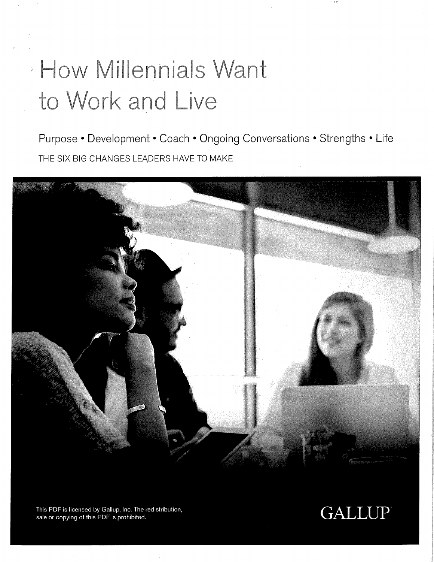## **How Millennials Want** to Work and Live

Purpose • Development • Coach • Ongoing Conversations • Strengths • Life THE SIX BIG CHANGES LEADERS HAVE TO MAKE



This PDF is licensed by Gallup, Inc. The redistribution, sale or copying of this PDF is prohibited.

#### **GALLUP**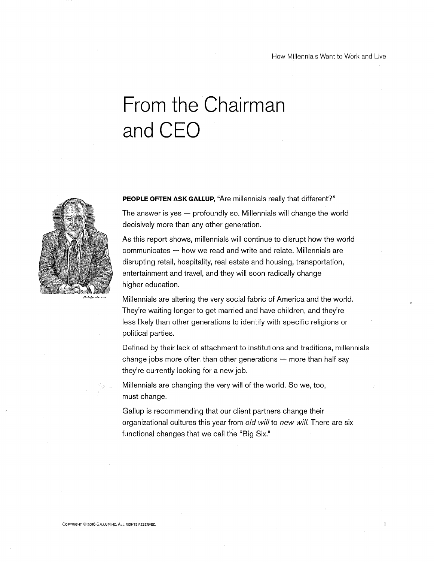$\ddagger$ 

### From the Chairman and CEO



PEOPLE OFTEN ASK GALLUP, "Are millennials really that different?" The answer is yes  $-$  profoundly so. Millennials will change the world decisively more than any other generation.

As this report shows, millennials will continue to disrupt how the world  $communicates - how we read and write and relate. Millennials are$ disrupting retail, hospitality, real estate and housing, transportation, entertainment and travel, and they will soon radically change higher education.

Millennials are altering the very social fabric of America and the world. They're waiting longer to get married and have children, and they're less likely than other generations to identify with specific religions or political parties.

Defined by their lack of attachment to institutions and traditions, millennials change jobs more often than other generations  $-$  more than half say they're currently looking for a new job.

Millennials are changing the very will of the world. So we, too, must change.

Gallup is recommending that our client partners change their organizational cultures this year from old will to new will. There are six functional changes that we call the "Big Six."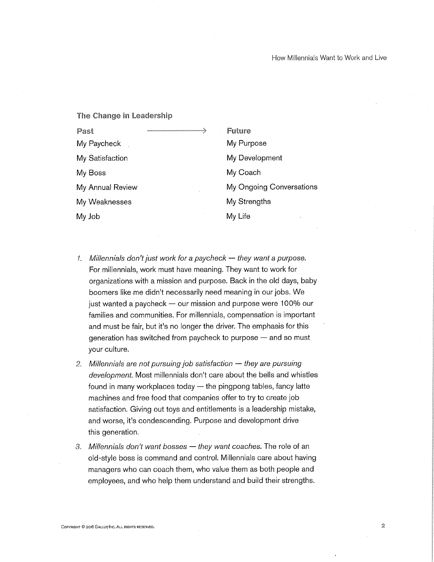#### The Change in Leadership

Past My Paycheck My Satisfaction My Boss My Annual Review My Weaknesses My Job

- Future My Purpose My Development My Coach My Ongoing Conversations My Strengths My Life
- 1. Millennials don't just work for a paycheck  $-$  they want a purpose. For millennials, work must have meaning. They want to work for organizations with a mission and purpose. Back in the old days, baby boomers like me didn't necessarily need meaning in our jobs. We just wanted a paycheck — our mission and purpose were 100% our families and communities. For millennials, compensation is important and must be fair, but it's no longer the driver. The emphasis for this generation has switched from paycheck to purpose  $-$  and so must your culture.
- 2. Millennials are not pursuing job satisfaction  $-$  they are pursuing development. Most millennials don't care about the bells and whistles found in many workplaces today  $-$  the pingpong tables, fancy latte machines and free food that companies offer to try to create job satisfaction. Giving out toys and entitlements is a leadership mistake, and worse, it's condescending. Purpose and development drive this generation.
- 3. Millennials don't want bosses they want coaches. The role of an old-style boss is command and control. Millennials care about having managers who can coach them, who value them as both people and employees, and who help them understand and build their strengths.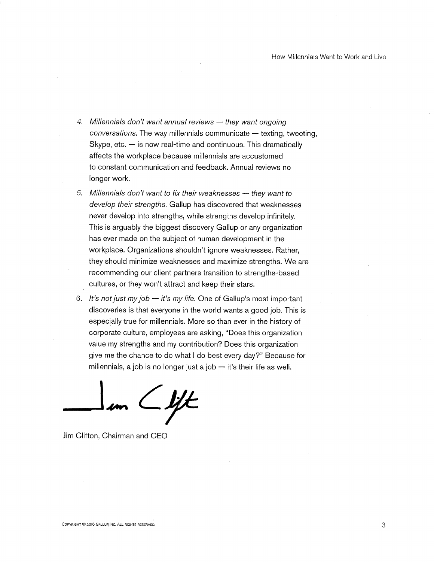- 4. Millennials don't want annual reviews  $-$  they want ongoing conversations. The way millennials communicate — texting, tweeting, Skype, etc. — is now real-time and continuous. This dramatically affects the workplace because. miliennials are accustomed to constant communication and feedback. Annual reviews no longer work.
- 5. Millennials don't want to fix their weaknesses  $-$  they want to develop their strengths. Gallup has discovered that weaknesses never develop into strengths, while strengths develop infinitely. This is arguably the biggest discovery Gallup or any organization has ever made on the subject of human development in the workplace. Organizations shouldn't ignore weaknesses. Rather, they should minimize weaknesses and maximize strengths. We are recommending our client partners transition to strengths-based cultures, or they won't attract and keep their stars.
- 6. It's not just my job  $-$  it's my life. One of Gallup's most important discoveries is that everyone in the world wants a good job. This is especially true for millennials. More so than ever in the history of corporate culture, employees are asking, "Does this organization value my strengths and my contribution? Does this organization give me the chance to do what I do best every day?" Because for millennials, a job is no longer just a job  $-$  it's their life as well.

 $\angle$  if  $\angle$ 

Jim Clifton, Chairman and CEO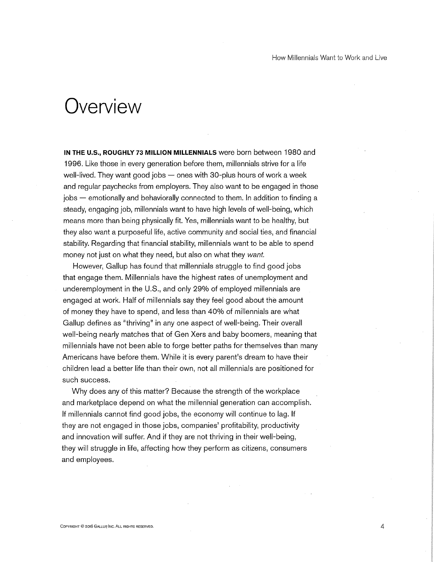#### Overview

IN THE U.S., ROUGHLY 73 MILLION MILLENNIALS were born between 1980 and 1996. Like those in every generation before them, millennials strive for a life well-lived. They want good jobs  $-$  ones with 30-plus hours of work a week and regular paychecks from employers. They also want to be engaged in those jobs — emotionally and behaviorally connected to them. In addition to finding a steady, engaging job, millennials want to have high levels of well-being, which means more than being physically fit. Yes, millennials want to be healthy, but they also want a purposeful life, active community and social ties, and financial stability. Regarding that financial stability, millennials want to be able to spend money not just on what they need, but also on what they want.

However, Gallup has found that millennials struggle to find good jobs that engage them. Millennials have the highest rates of unemployment and underemployment in the U.S., and only 29% of employed millennials are engaged at work. Half of millennials say they feel good about the amount of money they have to spend, and less than 40% of millennials are what Gallup defines as "thriving" in any one aspect of well-being. Their overall well-being nearly matches that of Gen Xers and baby boomers, meaning that millennials have not been able to forge better paths for themselves than many Americans have before them. While it is every parent's dream to have their children lead a better life than their own, not all millennials are positioned for such success.

Why does any of this matter? Because the strength of the workplace and marketplace depend on what the millennial generation can accomplish. If millennials cannot find good jobs, the economy will continue to lag. If they are not engaged in those jobs, companies' profitability, productivity and innovation will suffer. And if they are not thriving in their well-being, they will struggle in life, affecting how they perform as citizens, consumers and employees.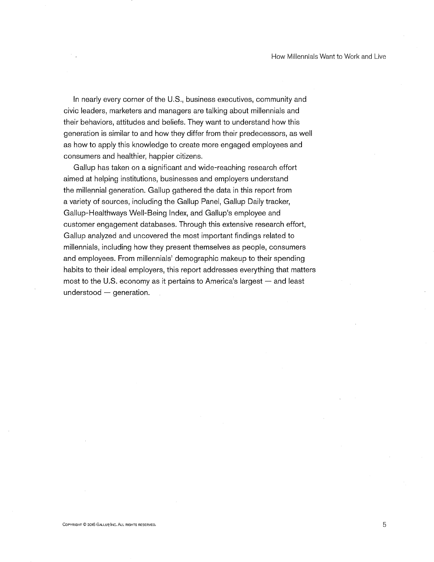In nearly every corner of the U.S., business executives, community and civic leaders, marketers and managers are talking about millennials and their behaviors, attitudes and beliefs. They want to understand how this generation is similar to and how they differ from their predecessors, as well as how to apply this knowledge to create more engaged employees and consumers and healthier, happier citizens.

Gallup has taken on a significant and wide-reaching research effort aimed at helping institutions, businesses and employers understand the millennial generation. Gallup gathered the data in this report from a variety of sources, including the Gallup Panel, Gallup Daily tracker, Gallup-Healthways Well-Being Index, and Gallup's employee and customer engagement databases. Through this extensive research effort, Gallup analyzed and uncovered the most important findings related to millennials, including how they present themselves as people, consumers and employees. From millennials' demographic makeup to their spending habits to their ideal employers, this report addresses everything that matters most to the U.S. economy as it pertains to America's largest - and least  $understood - generation.$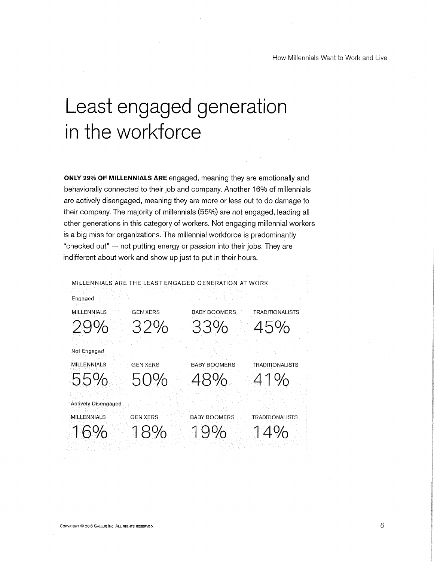#### Least engaged generation in the workforce

ONLY 29% OF MILLENNIALS ARE engaged, meaning they are emotionally and behaviorally connected to their job and company. Another 16% of millennials are actively disengaged, meaning they are more or less out to do damage to their company. The majority of millennials (55%) are not engaged, leading all other generations in this category of workers. Not engaging millennial workers is a big miss for organizations. The millennial workforce is predominantly "checked out" —not putting energy or passion into their jobs. They are indifferent about work and show up just to put in their hours.

MILLENNIALS ARE THE LEAST ENGAGED GENERATION AT WORK

Engaged

MILLENNIALS GEN XERS BABY BOOMERS TRADITIONALISTS

29% 32% 33% 45%

Not Engaged

Actively Disengaged

MILLENNIALS GEN XERS BABY BOOMERS TRADITIONALISTS 55% 50% 48% 41%

MILLENNIALS GEN XERS BABY BOOMERS TRADITIONALISTS

16% 18% 19% 14%0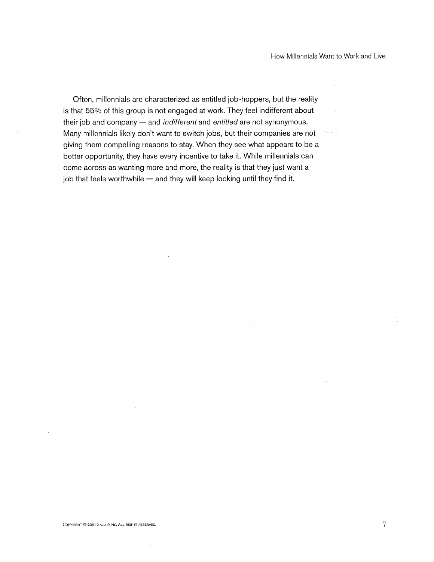How Millennials Want to Work and Live

Often, millennials are characterized as entitled job-hoppers, but the reality is that 55% of this group is not engaged at work. They feel indifferent about their job and company  $-$  and *indifferent* and *entitled* are not synonymous. Many millennials likely don't want to switch jobs, but their companies are not giving them compelling reasons to stay. When they see what appears to be a better opportunity, they have every incentive to take it. While millennials can come across as wanting more and more, the reality is that they just want a job that feels worthwhile — and they will keep looking until they find it.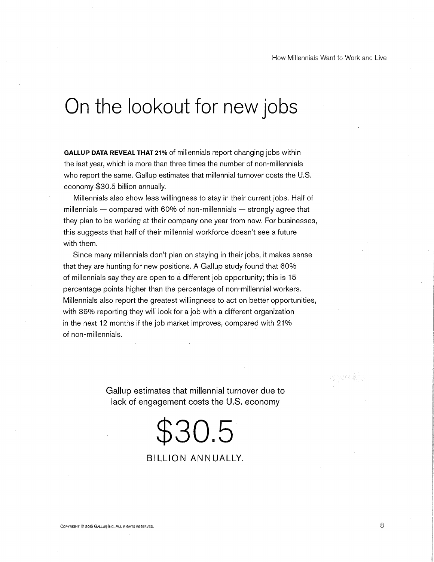#### On the lookout for new jobs

GALLUP DATA REVEAL THAT 21% of millennials report changing jobs within the last year, which is more than three times the number of non-millennials who report the same. Gallup estimates that millennial turnover costs the U.S. economy \$30.5 billion annually.

Millennials also show less willingness to stay in their current jobs. Half of millennials  $-$  compared with 60% of non-millennials  $-$  strongly agree that they plan to be working at their company one year from now. For businesses, this suggests that half of their millennial workforce doesn't see a future with them.

Since many millennials don't plan on staying in their jobs, it makes sense that they are hunting for new positions. A Gallup study found that 60% of millennials say they are open to a different job opportunity; this is 15 percentage points higher than the percentage of non-millennial workers. Millennials also report the greatest willingness to act on better opportunities, with 36% reporting they will look for a job with a different organization in the next 12 months if the job market improves, compared with 21% of non-millennials.

> Gallup estimates that millennial turnover due to lack of engagement costs the U.S. economy

# \$30.5

#### BILLION ANNUALLY.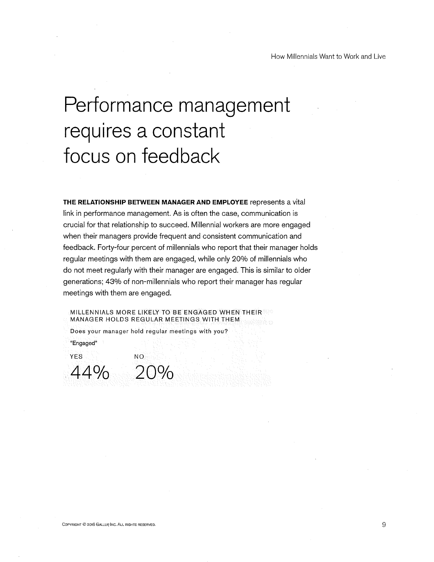## Performance management requires a constant focus on feedback

THE RELATIONSHIP BETWEEN MANAGER AND EMPLOYEE represents a vital link in performance management. As is often the case, communication is crucial for that relationship to succeed. Millennial workers are more engaged when their managers provide frequent and consistent communication and feedback. Forty-four percent of millennials who report that their manager holds regular meetings with them are engaged, while only 20% of millennials who do not meet regularly with their manager are engaged. This is similar to older generations; 43% of non-millennials who report their manager has regular meetings with them are engaged.

MILLENNIALS MORE LIKELY TO'BE ENGAGED WHEN THEIR MANAGER HOLDS REGULAR MEETINGS WITH THEM

Does your manager hold' regular meetings with you?

••Engaged"

YES' NO 44% 20%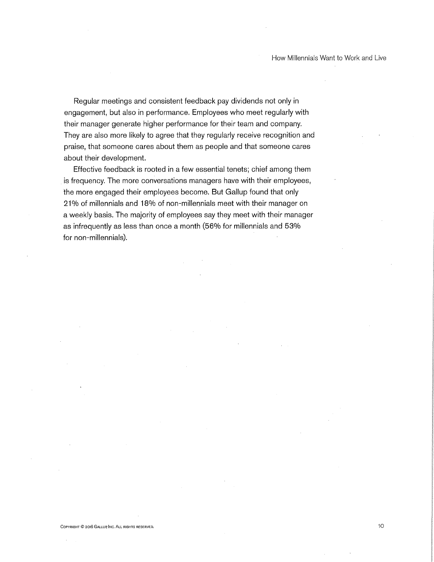Regular meetings and consistent feedback pay dividends not only in engagement, but also in performance. Employees who meet regularly with their manager generate higher performance for their team and company. They are also more likely to agree that they regularly receive recognition and praise, that someone cares about them as people and that someone cares about their development.

Effective feedback is rooted in a few essential tenets; chief among them is frequency. The more conversations managers have with their employees, the more engaged their employees become. But Gallup found that only 21% of millennials and 18% of non-millennials meet with their manager on a weekly basis. The majority of employees say they meet with their manager as infrequently as less than once a month (56% for millennials and 53% for non-millennials).